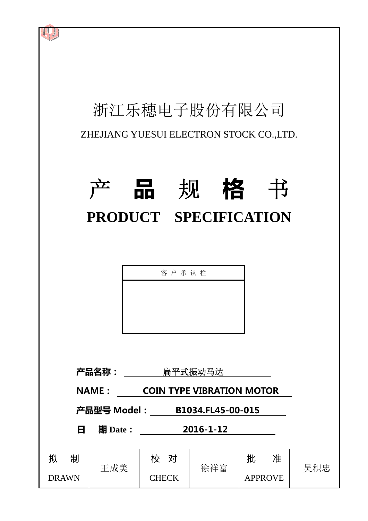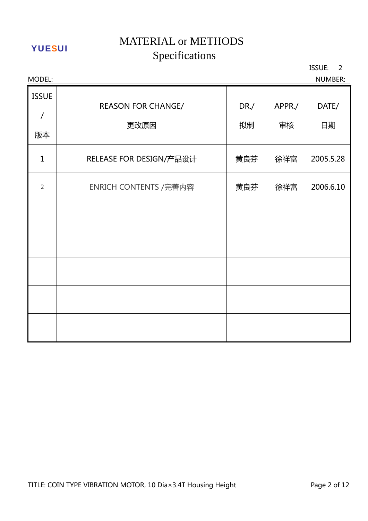MODEL: NUMBER: ISSUE / 版本 REASON FOR CHANGE/ 更改原因 DR./ 拟制 APPR./ 审核 DATE/ 日期 1 | RELEASE FOR DESIGN/产品设计 | 黄良芬 | 徐祥富 | 2005.5.28 2 | ENRICH CONTENTS /完善内容 | 黄良芬 | 徐祥富 | 2006.6.10

ISSUE: 2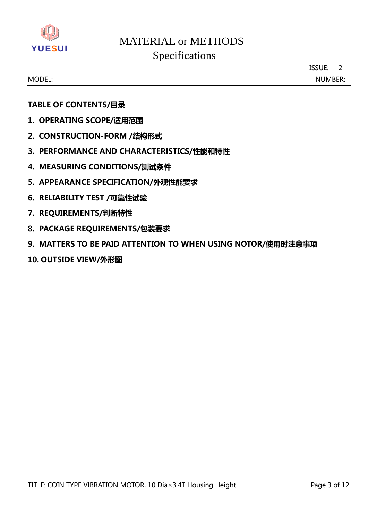

ISSUE: 2

MODEL: NUMBER:

## **TABLE OF CONTENTS/目录**

- **1. OPERATING SCOPE/适用范围**
- **2. CONSTRUCTION-FORM /结构形式**
- **3. PERFORMANCE AND CHARACTERISTICS/性能和特性**
- **4. MEASURING CONDITIONS/测试条件**
- **5. APPEARANCE SPECIFICATION/外观性能要求**
- **6. RELIABILITY TEST /可靠性试验**
- **7. REQUIREMENTS/判断特性**
- **8. PACKAGE REQUIREMENTS/包装要求**
- **9. MATTERS TO BE PAID ATTENTION TO WHEN USING NOTOR/使用时注意事项**
- **10. OUTSIDE VIEW/外形图**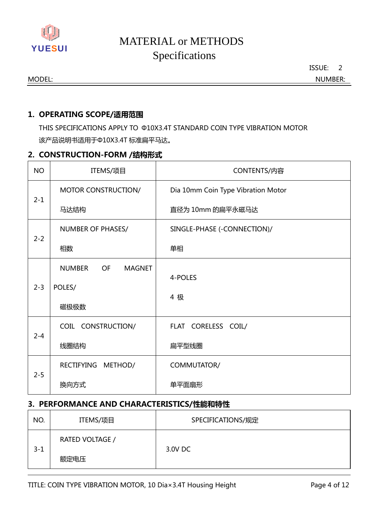

ISSUE: 2

MODEL: NUMBER:

## **1. OPERATING SCOPE/适用范围**

THIS SPECIFICATIONS APPLY TO Φ10X3.4T STANDARD COIN TYPE VIBRATION MOTOR 该产品说明书适用于Φ10X3.4T 标准扁平马达。

## **2. CONSTRUCTION-FORM /结构形式**

| <b>NO</b> | ITEMS/项目                             | CONTENTS/内容                        |  |
|-----------|--------------------------------------|------------------------------------|--|
| $2 - 1$   | MOTOR CONSTRUCTION/                  | Dia 10mm Coin Type Vibration Motor |  |
|           | 马达结构                                 | 直径为 10mm 的扁平永磁马达                   |  |
|           | <b>NUMBER OF PHASES/</b>             | SINGLE-PHASE (-CONNECTION)/        |  |
| $2 - 2$   | 相数                                   | 单相                                 |  |
| $2 - 3$   | <b>NUMBER</b><br>OF<br><b>MAGNET</b> |                                    |  |
|           | POLES/                               | 4-POLES                            |  |
|           | 磁极极数                                 | 4 极                                |  |
|           | COIL CONSTRUCTION/                   | FLAT CORELESS COIL/                |  |
| $2 - 4$   | 线圈结构                                 | 扁平型线圈                              |  |
| $2 - 5$   | <b>RECTIFYING</b><br>METHOD/         | COMMUTATOR/                        |  |
|           | 换向方式                                 | 单平面扇形                              |  |

## **3. PERFORMANCE AND CHARACTERISTICS/性能和特性**

| NO.     | ITEMS/项目        | SPECIFICATIONS/规定 |  |
|---------|-----------------|-------------------|--|
| $3 - 1$ | RATED VOLTAGE / | 3.0V DC           |  |
|         | 额定电压            |                   |  |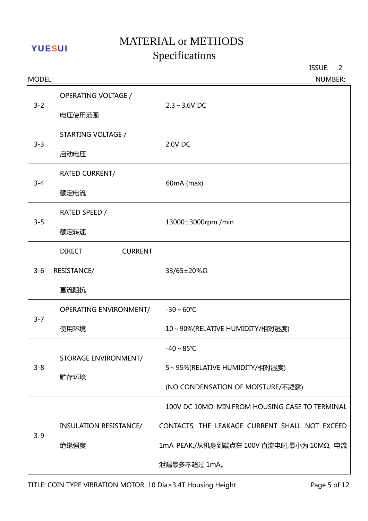# MATERIAL or METHODS YUESUI METERITE OF METERITY

ISSUE: 2

| MODEL:  |                                                        | <b>NUMBER:</b>                                                                                                                                               |
|---------|--------------------------------------------------------|--------------------------------------------------------------------------------------------------------------------------------------------------------------|
| $3 - 2$ | <b>OPERATING VOLTAGE /</b><br>电压使用范围                   | $2.3 \sim 3.6V$ DC                                                                                                                                           |
| $3 - 3$ | STARTING VOLTAGE /<br>启动电压                             | 2.0V DC                                                                                                                                                      |
| $3 - 4$ | <b>RATED CURRENT/</b><br>额定电流                          | 60mA (max)                                                                                                                                                   |
| $3 - 5$ | RATED SPEED /<br>额定转速                                  | 13000±3000rpm /min                                                                                                                                           |
| $3 - 6$ | <b>DIRECT</b><br><b>CURRENT</b><br>RESISTANCE/<br>直流阻抗 | 33/65±20%Ω                                                                                                                                                   |
| $3 - 7$ | <b>OPERATING ENVIRONMENT/</b><br>使用环境                  | $-30 - 60^{\circ}C$<br>10~90%(RELATIVE HUMIDITY/相对湿度)                                                                                                        |
| $3 - 8$ | <b>STORAGE ENVIRONMENT/</b><br>贮存环境                    | $-40 \sim 85^{\circ}$ C<br>5~95%(RELATIVE HUMIDITY/相对湿度)<br>(NO CONDENSATION OF MOISTURE/不凝露)                                                                |
| $3 - 9$ | <b>INSULATION RESISTANCE/</b><br>绝缘强度                  | 100V DC 10MΩ MIN.FROM HOUSING CASE TO TERMINAL<br>CONTACTS, THE LEAKAGE CURRENT SHALL NOT EXCEED<br>1mA PEAK./从机身到端点在 100V 直流电时,最小为 10MΩ, 电流<br>泄漏最多不超过 1mA。 |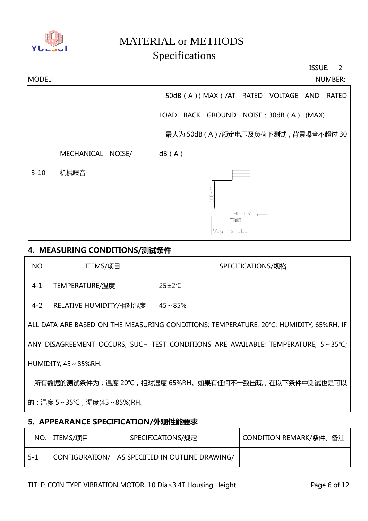

ISSUE: 2



## **4. MEASURING CONDITIONS/测试条件**

| <b>NO</b> | ITEMS/项目               | SPECIFICATIONS/规格    |
|-----------|------------------------|----------------------|
| $4 - 1$   | TEMPERATURE/温度         | $25 \pm 2^{\circ}$ C |
| $4 - 2$   | RELATIVE HUMIDITY/相对湿度 | $45 - 85%$           |

ALL DATA ARE BASED ON THE MEASURING CONDITIONS: TEMPERATURE, 20℃; HUMIDITY, 65%RH. IF

ANY DISAGREEMENT OCCURS, SUCH TEST CONDITIONS ARE AVAILABLE: TEMPERATURE, 5~35℃;

HUMIDITY,45~85%RH.

所有数据的测试条件为:温度 20℃,相对湿度 65%RH。如果有任何不一致出现,在以下条件中测试也是可以

的:温度 5~35℃,湿度(45~85%)RH。

## **5. APPEARANCE SPECIFICATION/外观性能要求**

|       | NO.   ITEMS/项目 | SPECIFICATIONS/规定                                 | CONDITION REMARK/条件、备注 |
|-------|----------------|---------------------------------------------------|------------------------|
| - 5-1 |                | CONFIGURATION/   AS SPECIFIED IN OUTLINE DRAWING/ |                        |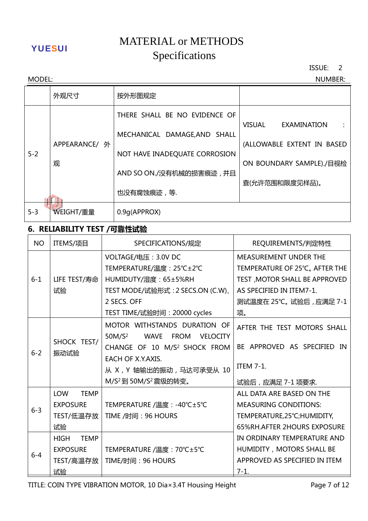# MATERIAL or METHODS YUESUI METERITE OF METERITY

ISSUE: 2

| <b>NUMBER:</b><br>MODEL: |                    |                               |                              |  |
|--------------------------|--------------------|-------------------------------|------------------------------|--|
|                          | 外观尺寸               | 按外形图规定                        |                              |  |
|                          |                    | THERE SHALL BE NO EVIDENCE OF | VISUAL<br><b>EXAMINATION</b> |  |
|                          | APPEARANCE/ 外<br>观 | MECHANICAL DAMAGE, AND SHALL  | (ALLOWABLE EXTENT IN BASED   |  |
| $5 - 2$                  |                    | NOT HAVE INADEQUATE CORROSION | ON BOUNDARY SAMPLE)./目视检     |  |
|                          |                    | AND SO ON./没有机械的损害痕迹, 并且      | 查(允许范围和限度见样品)。               |  |
|                          |                    | 也没有腐蚀痕迹,等.                    |                              |  |
| $5 - 3$                  | WEIGHT/重量          | 0.9g(APPROX)                  |                              |  |

# **6. RELIABILITY TEST /可靠性试验**

| <b>NO</b> | ITEMS/项目                   | SPECIFICATIONS/规定                                            | REQUIREMENTS/判定特性                  |
|-----------|----------------------------|--------------------------------------------------------------|------------------------------------|
|           |                            | VOLTAGE/电压: 3.0V DC                                          | MEASUREMENT UNDER THE              |
|           |                            | TEMPERATURE/温度: 25℃±2℃                                       | TEMPERATURE OF 25°C, AFTER THE     |
| $6 - 1$   | LIFE TEST/寿命               | HUMIDUTY/湿度: 65±5%RH                                         | TEST, MOTOR SHALL BE APPROVED      |
|           | 试验                         | TEST MODE/试验形式: 2 SECS.ON (C.W)、                             | AS SPECIFIED IN ITEM7-1.           |
|           |                            | 2 SECS. OFF                                                  | 测试温度在 25℃。试验后,应满足 7-1              |
|           |                            | TEST TIME/试验时间: 20000 cycles                                 | 项。                                 |
|           |                            | MOTOR WITHSTANDS DURATION OF                                 | AFTER THE TEST MOTORS SHALL        |
|           | SHOCK TEST/<br>振动试验        | 50M/S <sup>2</sup><br><b>WAVE</b><br>FROM<br><b>VELOCITY</b> |                                    |
|           |                            | CHANGE OF 10 M/S <sup>2</sup> SHOCK FROM                     | BE APPROVED AS SPECIFIED IN        |
| $6 - 2$   |                            | EACH OF X.Y.AXIS.                                            |                                    |
|           |                            | 从 X , Y 轴输出的振动 , 马达可承受从 10                                   | <b>ITEM 7-1.</b>                   |
|           |                            | M/S <sup>2</sup> 到 50M/S <sup>2</sup> 震级的转变。                 | 试验后,应满足7-1项要求.                     |
|           | <b>LOW</b><br><b>TEMP</b>  |                                                              | ALL DATA ARE BASED ON THE          |
| $6 - 3$   | <b>EXPOSURE</b>            | TEMPERATURE /温度: -40℃±5℃                                     | <b>MEASURING CONDITIONS:</b>       |
|           | TEST/低温存放                  | TIME /时间: 96 HOURS                                           | TEMPERATURE, 25°C; HUMIDITY,       |
|           | 试验                         |                                                              | <b>65%RH.AFTER 2HOURS EXPOSURE</b> |
|           | <b>HIGH</b><br><b>TEMP</b> |                                                              | IN ORDINARY TEMPERATURE AND        |
| $6 - 4$   | <b>EXPOSURE</b>            | TEMPERATURE /温度: 70°C±5°C                                    | HUMIDITY, MOTORS SHALL BE          |
|           | TEST/高温存放                  | TIME/时间: 96 HOURS                                            | APPROVED AS SPECIFIED IN ITEM      |
|           | 试验                         |                                                              | $7-1.$                             |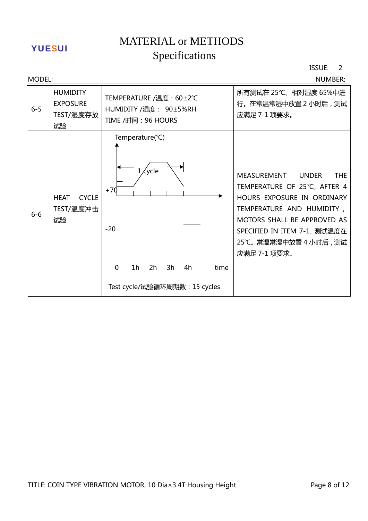# MATERIAL or METHODS YUESUI METERITE OF METERITY

ISSUE: 2

| <b>MODEL:</b> |                                                       |                                                                                                                                                   | <b>NUMBER:</b>                                                                                                                                                                                                                              |
|---------------|-------------------------------------------------------|---------------------------------------------------------------------------------------------------------------------------------------------------|---------------------------------------------------------------------------------------------------------------------------------------------------------------------------------------------------------------------------------------------|
| $6 - 5$       | <b>HUMIDITY</b><br><b>EXPOSURE</b><br>TEST/湿度存放<br>试验 | TEMPERATURE /温度: 60±2℃<br>HUMIDITY /湿度: 90±5%RH<br>TIME /时间: 96 HOURS                                                                             | 所有测试在 25℃、相对湿度 65%中进<br>行。在常温常湿中放置 2 小时后, 测试<br>应满足 7-1 项要求。                                                                                                                                                                                |
| $6-6$         | <b>CYCLE</b><br><b>HEAT</b><br>TEST/温度冲击<br>试验        | Temperature(°C)<br><b><i>cycle</i></b><br>$+70$<br>$-20$<br>$\Omega$<br>1 <sub>h</sub><br>2h<br>3h<br>4h<br>time<br>Test cycle/试验循环周期数: 15 cycles | MEASUREMENT<br><b>UNDER</b><br><b>THE</b><br>TEMPERATURE OF 25℃, AFTER 4<br>HOURS EXPOSURE IN ORDINARY<br>TEMPERATURE AND HUMIDITY,<br>MOTORS SHALL BE APPROVED AS<br>SPECIFIED IN ITEM 7-1. 测试温度在<br>25℃。常温常湿中放置 4 小时后, 测试<br>应满足 7-1 项要求。 |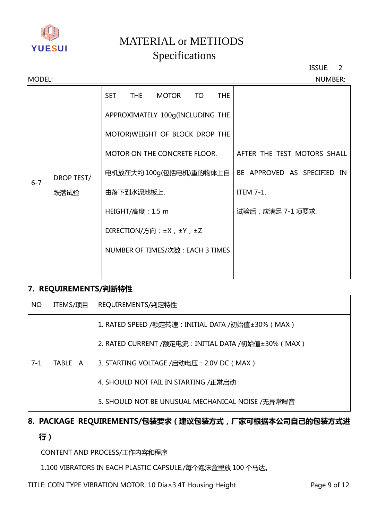

ISSUE: 2

| MODEL:  |                    |                                  |              |    |            | <b>NUMBER:</b>              |
|---------|--------------------|----------------------------------|--------------|----|------------|-----------------------------|
|         |                    | <b>SET</b><br><b>THE</b>         | <b>MOTOR</b> | TO | <b>THE</b> |                             |
|         | DROP TEST/<br>跌落试验 | APPROXIMATELY 100g(INCLUDING THE |              |    |            |                             |
|         |                    | MOTOR) WEIGHT OF BLOCK DROP THE  |              |    |            |                             |
|         |                    | MOTOR ON THE CONCRETE FLOOR.     |              |    |            | AFTER THE TEST MOTORS SHALL |
| $6 - 7$ |                    | 电机放在大约 100g(包括电机)重的物体上自          |              |    |            | BE APPROVED AS SPECIFIED IN |
|         |                    | 由落下到水泥地板上.                       |              |    |            | <b>ITEM 7-1.</b>            |
|         |                    | HEIGHT/高度: 1.5 m                 |              |    |            | 试验后,应满足 7-1 项要求.            |
|         |                    | DIRECTION/方向: ±X, ±Y, ±Z         |              |    |            |                             |
|         |                    | NUMBER OF TIMES/次数: EACH 3 TIMES |              |    |            |                             |
|         |                    |                                  |              |    |            |                             |

### **7. REQUIREMENTS/判断特性**

| <b>NO</b> | ITEMS/项目 | REQUIREMENTS/判定特性                                   |  |
|-----------|----------|-----------------------------------------------------|--|
|           |          | 1. RATED SPEED /额定转速: INITIAL DATA /初始值±30% (MAX)   |  |
|           |          | 2. RATED CURRENT /额定电流: INITIAL DATA /初始值±30% (MAX) |  |
| $7-1$     | TABLE A  | 3. STARTING VOLTAGE /启动电压: 2.0V DC (MAX)            |  |
|           |          | 4. SHOULD NOT FAIL IN STARTING /正常启动                |  |
|           |          | 5. SHOULD NOT BE UNUSUAL MECHANICAL NOISE /无异常噪音    |  |

## **8. PACKAGE REQUIREMENTS/包装要求(建议包装方式,厂家可根据本公司自己的包装方式进**

## **行)**

## CONTENT AND PROCESS/工作内容和程序

## 1.100 VIBRATORS IN EACH PLASTIC CAPSULE./每个泡沫盒里放 100 个马达。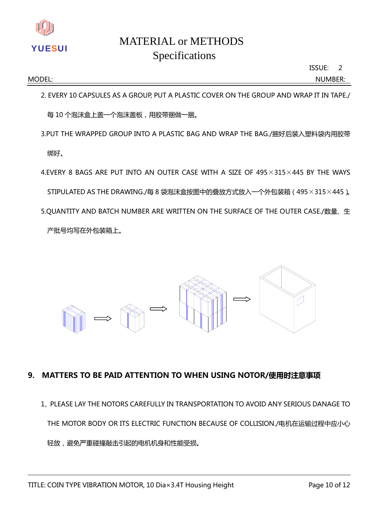

ISSUE: 2

MODEL: NUMBER:

2. EVERY 10 CAPSULES AS A GROUP, PUT A PLASTIC COVER ON THE GROUP AND WRAP IT IN TAPE./ 每 10 个泡沫盒上盖一个泡沫盖板,用胶带捆做一捆。

3.PUT THE WRAPPED GROUP INTO A PLASTIC BAG AND WRAP THE BAG./捆好后装入塑料袋内用胶带

绑好。

4.EVERY 8 BAGS ARE PUT INTO AN OUTER CASEWITH A SIZE OF 495×315×445 BY THEWAYS STIPULATED AS THE DRAWING./每 8 袋泡沫盒按图中的叠放方式放入一个外包装箱 (495×315×445)。 5.QUANTITY AND BATCH NUMBER ARE WRITTEN ON THE SURFACE OF THE OUTER CASE./数量、生 产批号均写在外包装箱上。



## **9. MATTERS TO BE PAID ATTENTION TO WHEN USING NOTOR/使用时注意事项**

1、PLEASELAYTHENOTORSCAREFULLYINTRANSPORTATIONTOAVOIDANYSERIOUSDANAGETO THE MOTOR BODY OR ITS ELECTRIC FUNCTION BECAUSE OF COLLISION./电机在运输过程中应小心 轻放,避免严重碰撞敲击引起的电机机身和性能受损。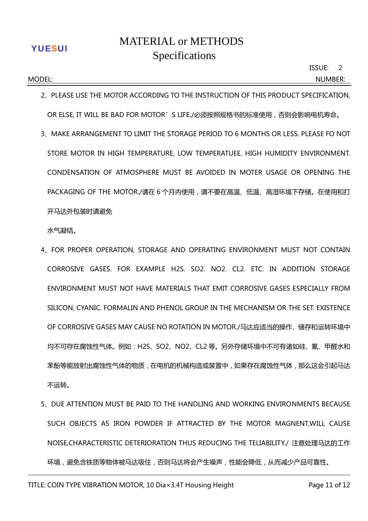2. PLEASE USE THE MOTOR ACCORDING TO THE INSTRUCTION OF THIS PRODUCT SPECIFICATION. OR ELSE, IT WILL BE BAD FOR MOTOR'S LIFE./必须按照规格书的标准使用, 否则会影响电机寿命。

MODEL: NUMBER:

3、MAKEARRANGEMENTTOLIMITTHESTORAGEPERIODTO6MONTHSORLESS.PLEASEFONOT STORE MOTOR IN HIGH TEMPERATURE, LOW TEMPERATUEE. HIGH HUMIDITY ENVIRONMENT. CONDENSATION OF ATMOSPHERE MUST BE AVOIDED IN MOTER USAGE OR OPENING THE PACKAGING OF THE MOTOR./请在 6 个月内使用,请不要在高温、低温、高湿环境下存储。在使用和打 开马达外包装时请避免

水气凝结。

- 4、FOR PROPER OPERATION, STORAGE AND OPERATING ENVIRONMENT MUST NOT CONTAIN CORROSIVE GASES. FOR EXAMPLE H2S. SO2. NO2. CL2. ETC. IN ADDITION STORAGE ENVIRONMENT MUST NOT HAVE MATERIALS THAT EMIT CORROSIVE GASES ESPECIALLY FROM SILICON, CYANIC. FORMALIN AND PHENOL GROUP. IN THE MECHANISM OR THE SET. EXISTENCE OF CORROSIVE GASES MAY CAUSE NO ROTATION IN MOTOR./马达应适当的操作、储存和运转环境中 均不可存在腐蚀性气体。例如:H2S、SO2、NO2、CL2 等。另外存储环境中不可有诸如硅、氰、甲醛水和 苯酚等能放射出腐蚀性气体的物质,在电机的机械构造或装置中,如果存在腐蚀性气体,那么这会引起马达 不运转。
- 5. DUE ATTENTION MUST BE PAID TO THE HANDLING AND WORKING ENVIRONMENTS BECAUSE SUCH OBJECTS AS IRON POWDER IF ATTRACTED BY THE MOTOR MAGNENT,WILL CAUSE NOISE,CHARACTERISTIC DETERIORATION THUS REDUCING THE TELIABILITY./ 注意处理马达的工作 环境,避免含铁质等物体被马达吸住,否则马达将会产生噪声,性能会降低,从而减少产品可靠性。